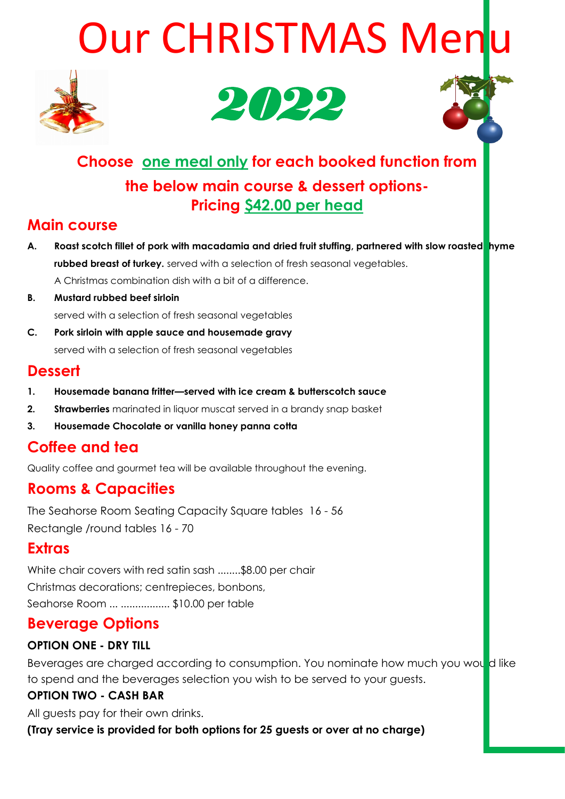# Our CHRISTMAS Menlu







## **Choose one meal only for each booked function from the below main course & dessert options-Pricing \$42.00 per head**

## **Main course**

- A. Roast scotch fillet of pork with macadamia and dried fruit stuffing, partnered with slow roasted hyme **rubbed breast of turkey.** served with a selection of fresh seasonal vegetables. A Christmas combination dish with a bit of a difference.
- **B. Mustard rubbed beef sirloin** served with a selection of fresh seasonal vegetables
- **C. Pork sirloin with apple sauce and housemade gravy** served with a selection of fresh seasonal vegetables

#### **Dessert**

- **1. Housemade banana fritter—served with ice cream & butterscotch sauce**
- **2. Strawberries** marinated in liquor muscat served in a brandy snap basket
- **3. Housemade Chocolate or vanilla honey panna cotta**

## **Coffee and tea**

Quality coffee and gourmet tea will be available throughout the evening.

## **Rooms & Capacities**

The Seahorse Room Seating Capacity Square tables 16 - 56 Rectangle /round tables 16 - 70

## **Extras**

White chair covers with red satin sash ........\$8.00 per chair Christmas decorations; centrepieces, bonbons, Seahorse Room ... ................. \$10.00 per table

## **Beverage Options**

#### **OPTION ONE - DRY TILL**

Beverages are charged according to consumption. You nominate how much you would like to spend and the beverages selection you wish to be served to your guests.

#### **OPTION TWO - CASH BAR**

All guests pay for their own drinks.

**(Tray service is provided for both options for 25 guests or over at no charge)**